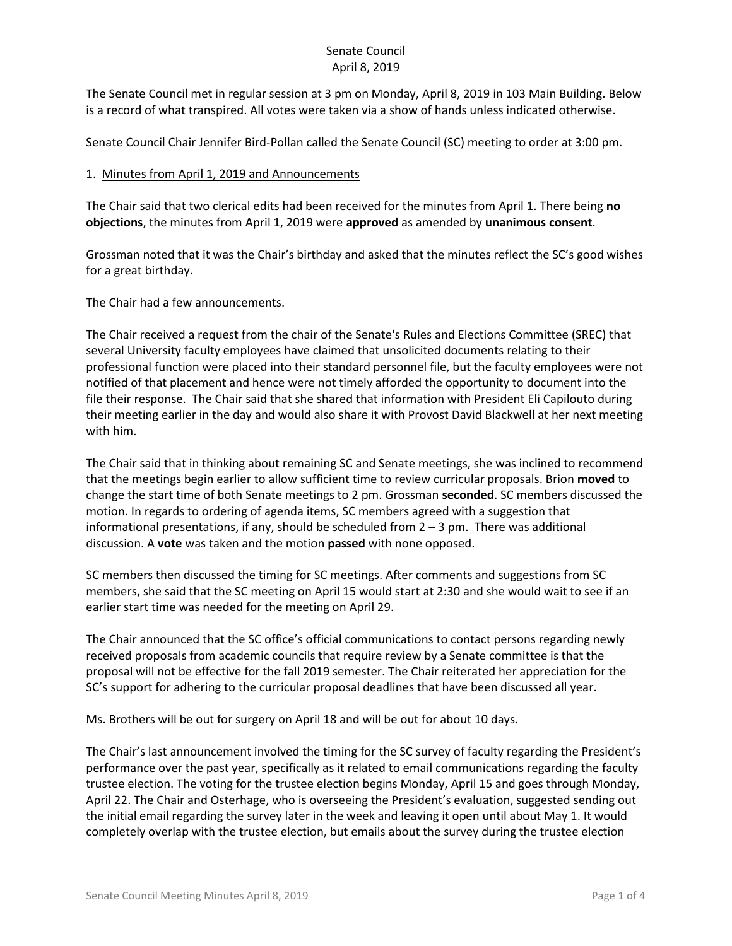### Senate Council April 8, 2019

The Senate Council met in regular session at 3 pm on Monday, April 8, 2019 in 103 Main Building. Below is a record of what transpired. All votes were taken via a show of hands unless indicated otherwise.

Senate Council Chair Jennifer Bird-Pollan called the Senate Council (SC) meeting to order at 3:00 pm.

#### 1. Minutes from April 1, 2019 and Announcements

The Chair said that two clerical edits had been received for the minutes from April 1. There being **no objections**, the minutes from April 1, 2019 were **approved** as amended by **unanimous consent**.

Grossman noted that it was the Chair's birthday and asked that the minutes reflect the SC's good wishes for a great birthday.

The Chair had a few announcements.

The Chair received a request from the chair of the Senate's Rules and Elections Committee (SREC) that several University faculty employees have claimed that unsolicited documents relating to their professional function were placed into their standard personnel file, but the faculty employees were not notified of that placement and hence were not timely afforded the opportunity to document into the file their response. The Chair said that she shared that information with President Eli Capilouto during their meeting earlier in the day and would also share it with Provost David Blackwell at her next meeting with him.

The Chair said that in thinking about remaining SC and Senate meetings, she was inclined to recommend that the meetings begin earlier to allow sufficient time to review curricular proposals. Brion **moved** to change the start time of both Senate meetings to 2 pm. Grossman **seconded**. SC members discussed the motion. In regards to ordering of agenda items, SC members agreed with a suggestion that informational presentations, if any, should be scheduled from 2 – 3 pm. There was additional discussion. A **vote** was taken and the motion **passed** with none opposed.

SC members then discussed the timing for SC meetings. After comments and suggestions from SC members, she said that the SC meeting on April 15 would start at 2:30 and she would wait to see if an earlier start time was needed for the meeting on April 29.

The Chair announced that the SC office's official communications to contact persons regarding newly received proposals from academic councils that require review by a Senate committee is that the proposal will not be effective for the fall 2019 semester. The Chair reiterated her appreciation for the SC's support for adhering to the curricular proposal deadlines that have been discussed all year.

Ms. Brothers will be out for surgery on April 18 and will be out for about 10 days.

The Chair's last announcement involved the timing for the SC survey of faculty regarding the President's performance over the past year, specifically as it related to email communications regarding the faculty trustee election. The voting for the trustee election begins Monday, April 15 and goes through Monday, April 22. The Chair and Osterhage, who is overseeing the President's evaluation, suggested sending out the initial email regarding the survey later in the week and leaving it open until about May 1. It would completely overlap with the trustee election, but emails about the survey during the trustee election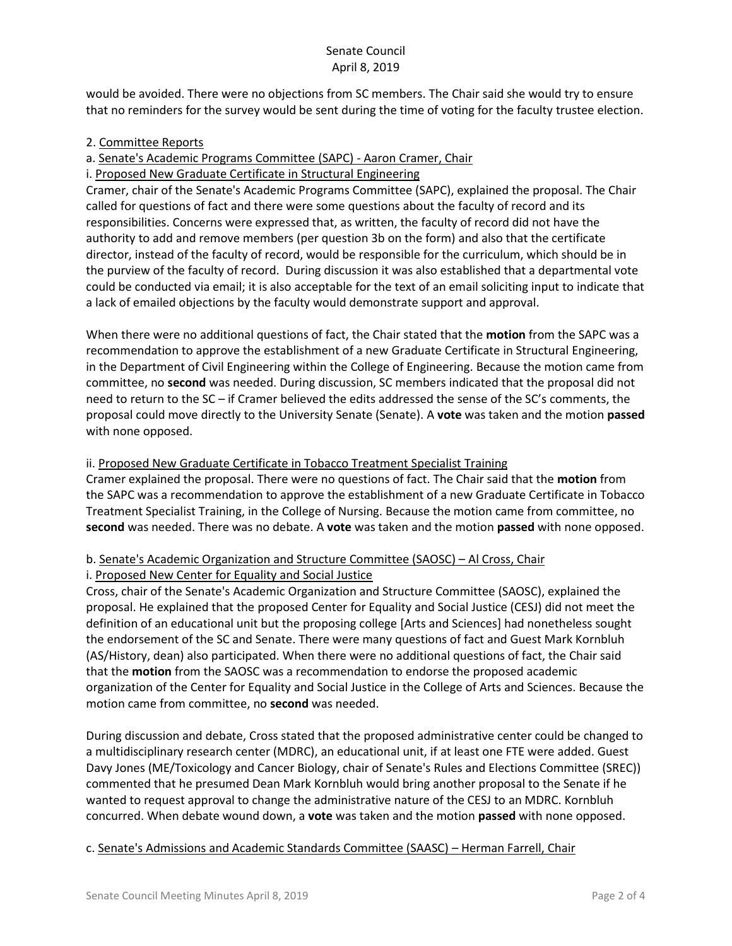## Senate Council April 8, 2019

would be avoided. There were no objections from SC members. The Chair said she would try to ensure that no reminders for the survey would be sent during the time of voting for the faculty trustee election.

## 2. Committee Reports

# a. Senate's Academic Programs Committee (SAPC) - Aaron Cramer, Chair

### i. Proposed New Graduate Certificate in Structural Engineering

Cramer, chair of the Senate's Academic Programs Committee (SAPC), explained the proposal. The Chair called for questions of fact and there were some questions about the faculty of record and its responsibilities. Concerns were expressed that, as written, the faculty of record did not have the authority to add and remove members (per question 3b on the form) and also that the certificate director, instead of the faculty of record, would be responsible for the curriculum, which should be in the purview of the faculty of record. During discussion it was also established that a departmental vote could be conducted via email; it is also acceptable for the text of an email soliciting input to indicate that a lack of emailed objections by the faculty would demonstrate support and approval.

When there were no additional questions of fact, the Chair stated that the **motion** from the SAPC was a recommendation to approve the establishment of a new Graduate Certificate in Structural Engineering, in the Department of Civil Engineering within the College of Engineering. Because the motion came from committee, no **second** was needed. During discussion, SC members indicated that the proposal did not need to return to the SC – if Cramer believed the edits addressed the sense of the SC's comments, the proposal could move directly to the University Senate (Senate). A **vote** was taken and the motion **passed**  with none opposed.

## ii. Proposed New Graduate Certificate in Tobacco Treatment Specialist Training

Cramer explained the proposal. There were no questions of fact. The Chair said that the **motion** from the SAPC was a recommendation to approve the establishment of a new Graduate Certificate in Tobacco Treatment Specialist Training, in the College of Nursing. Because the motion came from committee, no **second** was needed. There was no debate. A **vote** was taken and the motion **passed** with none opposed.

## b. Senate's Academic Organization and Structure Committee (SAOSC) – Al Cross, Chair i. Proposed New Center for Equality and Social Justice

Cross, chair of the Senate's Academic Organization and Structure Committee (SAOSC), explained the proposal. He explained that the proposed Center for Equality and Social Justice (CESJ) did not meet the definition of an educational unit but the proposing college [Arts and Sciences] had nonetheless sought the endorsement of the SC and Senate. There were many questions of fact and Guest Mark Kornbluh (AS/History, dean) also participated. When there were no additional questions of fact, the Chair said that the **motion** from the SAOSC was a recommendation to endorse the proposed academic organization of the Center for Equality and Social Justice in the College of Arts and Sciences. Because the motion came from committee, no **second** was needed.

During discussion and debate, Cross stated that the proposed administrative center could be changed to a multidisciplinary research center (MDRC), an educational unit, if at least one FTE were added. Guest Davy Jones (ME/Toxicology and Cancer Biology, chair of Senate's Rules and Elections Committee (SREC)) commented that he presumed Dean Mark Kornbluh would bring another proposal to the Senate if he wanted to request approval to change the administrative nature of the CESJ to an MDRC. Kornbluh concurred. When debate wound down, a **vote** was taken and the motion **passed** with none opposed.

# c. Senate's Admissions and Academic Standards Committee (SAASC) – Herman Farrell, Chair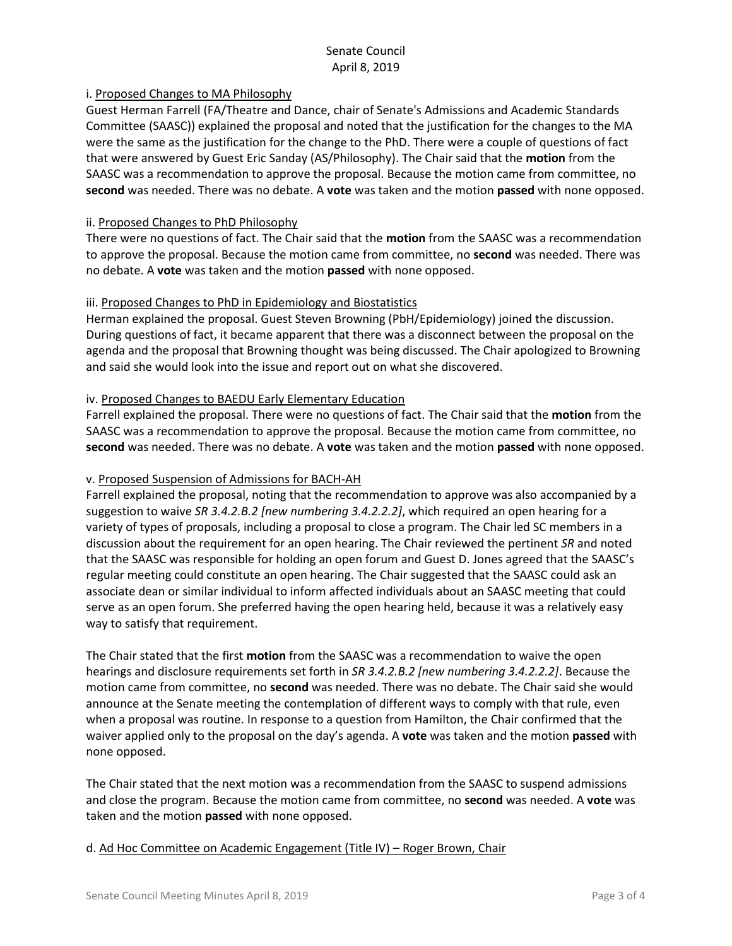# Senate Council April 8, 2019

## i. Proposed Changes to MA Philosophy

Guest Herman Farrell (FA/Theatre and Dance, chair of Senate's Admissions and Academic Standards Committee (SAASC)) explained the proposal and noted that the justification for the changes to the MA were the same as the justification for the change to the PhD. There were a couple of questions of fact that were answered by Guest Eric Sanday (AS/Philosophy). The Chair said that the **motion** from the SAASC was a recommendation to approve the proposal. Because the motion came from committee, no **second** was needed. There was no debate. A **vote** was taken and the motion **passed** with none opposed.

### ii. Proposed Changes to PhD Philosophy

There were no questions of fact. The Chair said that the **motion** from the SAASC was a recommendation to approve the proposal. Because the motion came from committee, no **second** was needed. There was no debate. A **vote** was taken and the motion **passed** with none opposed.

### iii. Proposed Changes to PhD in Epidemiology and Biostatistics

Herman explained the proposal. Guest Steven Browning (PbH/Epidemiology) joined the discussion. During questions of fact, it became apparent that there was a disconnect between the proposal on the agenda and the proposal that Browning thought was being discussed. The Chair apologized to Browning and said she would look into the issue and report out on what she discovered.

## iv. Proposed Changes to BAEDU Early Elementary Education

Farrell explained the proposal. There were no questions of fact. The Chair said that the **motion** from the SAASC was a recommendation to approve the proposal. Because the motion came from committee, no **second** was needed. There was no debate. A **vote** was taken and the motion **passed** with none opposed.

### v. Proposed Suspension of Admissions for BACH-AH

Farrell explained the proposal, noting that the recommendation to approve was also accompanied by a suggestion to waive *SR 3.4.2.B.2 [new numbering 3.4.2.2.2]*, which required an open hearing for a variety of types of proposals, including a proposal to close a program. The Chair led SC members in a discussion about the requirement for an open hearing. The Chair reviewed the pertinent *SR* and noted that the SAASC was responsible for holding an open forum and Guest D. Jones agreed that the SAASC's regular meeting could constitute an open hearing. The Chair suggested that the SAASC could ask an associate dean or similar individual to inform affected individuals about an SAASC meeting that could serve as an open forum. She preferred having the open hearing held, because it was a relatively easy way to satisfy that requirement.

The Chair stated that the first **motion** from the SAASC was a recommendation to waive the open hearings and disclosure requirements set forth in *SR 3.4.2.B.2 [new numbering 3.4.2.2.2]*. Because the motion came from committee, no **second** was needed. There was no debate. The Chair said she would announce at the Senate meeting the contemplation of different ways to comply with that rule, even when a proposal was routine. In response to a question from Hamilton, the Chair confirmed that the waiver applied only to the proposal on the day's agenda. A **vote** was taken and the motion **passed** with none opposed.

The Chair stated that the next motion was a recommendation from the SAASC to suspend admissions and close the program. Because the motion came from committee, no **second** was needed. A **vote** was taken and the motion **passed** with none opposed.

### d. Ad Hoc Committee on Academic Engagement (Title IV) – Roger Brown, Chair